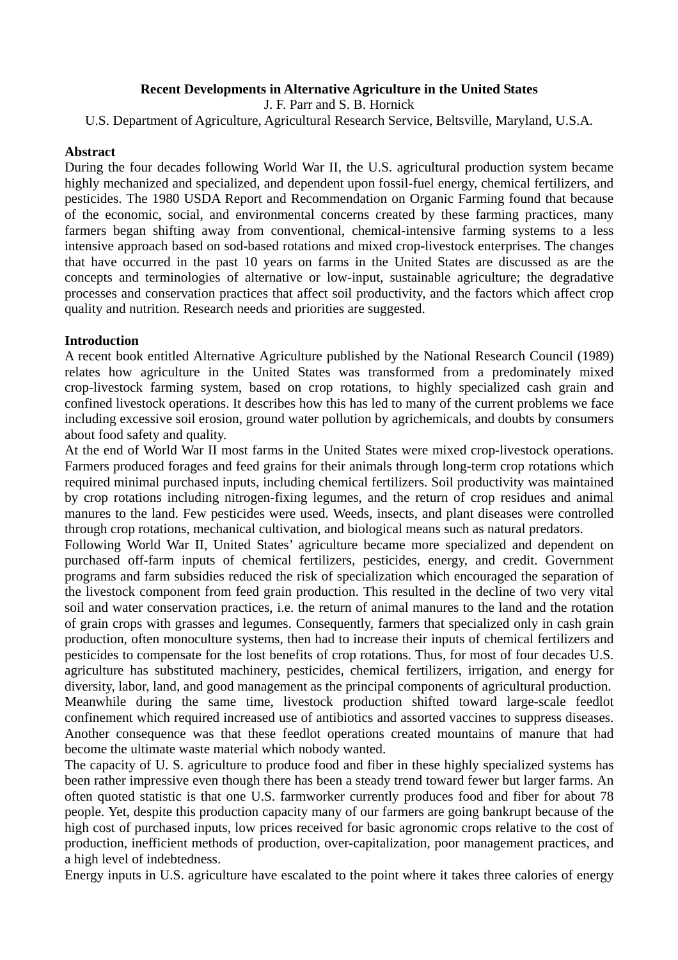# **Recent Developments in Alternative Agriculture in the United States**

J. F. Parr and S. B. Hornick

U.S. Department of Agriculture, Agricultural Research Service, Beltsville, Maryland, U.S.A.

### **Abstract**

During the four decades following World War II, the U.S. agricultural production system became highly mechanized and specialized, and dependent upon fossil-fuel energy, chemical fertilizers, and pesticides. The 1980 USDA Report and Recommendation on Organic Farming found that because of the economic, social, and environmental concerns created by these farming practices, many farmers began shifting away from conventional, chemical-intensive farming systems to a less intensive approach based on sod-based rotations and mixed crop-livestock enterprises. The changes that have occurred in the past 10 years on farms in the United States are discussed as are the concepts and terminologies of alternative or low-input, sustainable agriculture; the degradative processes and conservation practices that affect soil productivity, and the factors which affect crop quality and nutrition. Research needs and priorities are suggested.

# **Introduction**

A recent book entitled Alternative Agriculture published by the National Research Council (1989) relates how agriculture in the United States was transformed from a predominately mixed crop-livestock farming system, based on crop rotations, to highly specialized cash grain and confined livestock operations. It describes how this has led to many of the current problems we face including excessive soil erosion, ground water pollution by agrichemicals, and doubts by consumers about food safety and quality.

At the end of World War II most farms in the United States were mixed crop-livestock operations. Farmers produced forages and feed grains for their animals through long-term crop rotations which required minimal purchased inputs, including chemical fertilizers. Soil productivity was maintained by crop rotations including nitrogen-fixing legumes, and the return of crop residues and animal manures to the land. Few pesticides were used. Weeds, insects, and plant diseases were controlled through crop rotations, mechanical cultivation, and biological means such as natural predators.

Following World War II, United States' agriculture became more specialized and dependent on purchased off-farm inputs of chemical fertilizers, pesticides, energy, and credit. Government programs and farm subsidies reduced the risk of specialization which encouraged the separation of the livestock component from feed grain production. This resulted in the decline of two very vital soil and water conservation practices, i.e. the return of animal manures to the land and the rotation of grain crops with grasses and legumes. Consequently, farmers that specialized only in cash grain production, often monoculture systems, then had to increase their inputs of chemical fertilizers and pesticides to compensate for the lost benefits of crop rotations. Thus, for most of four decades U.S. agriculture has substituted machinery, pesticides, chemical fertilizers, irrigation, and energy for diversity, labor, land, and good management as the principal components of agricultural production. Meanwhile during the same time, livestock production shifted toward large-scale feedlot confinement which required increased use of antibiotics and assorted vaccines to suppress diseases. Another consequence was that these feedlot operations created mountains of manure that had become the ultimate waste material which nobody wanted.

The capacity of U. S. agriculture to produce food and fiber in these highly specialized systems has been rather impressive even though there has been a steady trend toward fewer but larger farms. An often quoted statistic is that one U.S. farmworker currently produces food and fiber for about 78 people. Yet, despite this production capacity many of our farmers are going bankrupt because of the high cost of purchased inputs, low prices received for basic agronomic crops relative to the cost of production, inefficient methods of production, over-capitalization, poor management practices, and a high level of indebtedness.

Energy inputs in U.S. agriculture have escalated to the point where it takes three calories of energy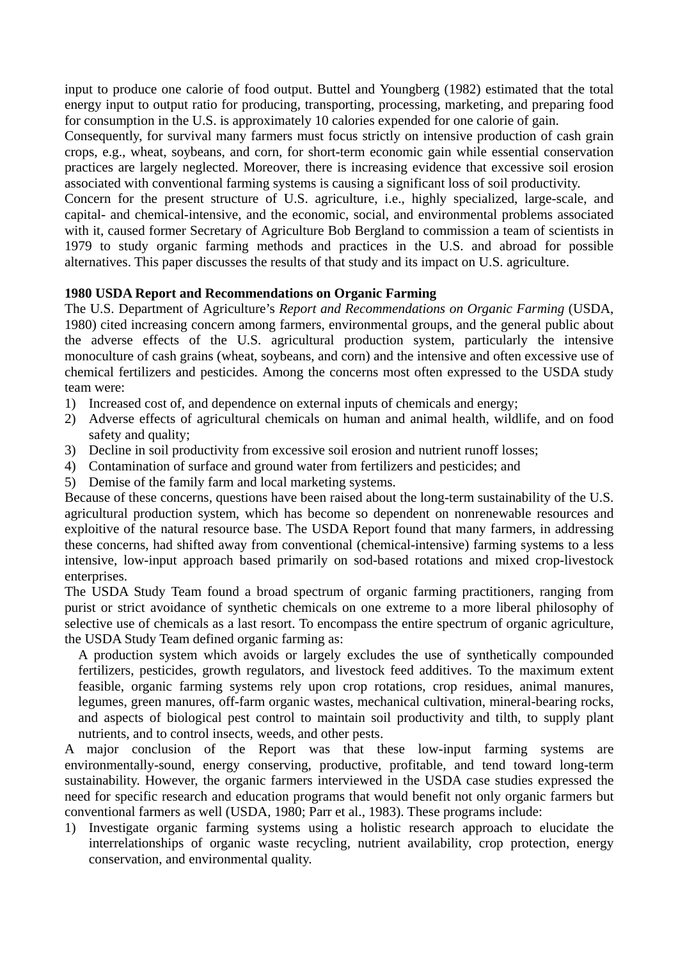input to produce one calorie of food output. Buttel and Youngberg (1982) estimated that the total energy input to output ratio for producing, transporting, processing, marketing, and preparing food for consumption in the U.S. is approximately 10 calories expended for one calorie of gain.

Consequently, for survival many farmers must focus strictly on intensive production of cash grain crops, e.g., wheat, soybeans, and corn, for short-term economic gain while essential conservation practices are largely neglected. Moreover, there is increasing evidence that excessive soil erosion associated with conventional farming systems is causing a significant loss of soil productivity.

Concern for the present structure of U.S. agriculture, i.e., highly specialized, large-scale, and capital- and chemical-intensive, and the economic, social, and environmental problems associated with it, caused former Secretary of Agriculture Bob Bergland to commission a team of scientists in 1979 to study organic farming methods and practices in the U.S. and abroad for possible alternatives. This paper discusses the results of that study and its impact on U.S. agriculture.

# **1980 USDA Report and Recommendations on Organic Farming**

The U.S. Department of Agriculture's *Report and Recommendations on Organic Farming* (USDA, 1980) cited increasing concern among farmers, environmental groups, and the general public about the adverse effects of the U.S. agricultural production system, particularly the intensive monoculture of cash grains (wheat, soybeans, and corn) and the intensive and often excessive use of chemical fertilizers and pesticides. Among the concerns most often expressed to the USDA study team were:

- 1) Increased cost of, and dependence on external inputs of chemicals and energy;
- 2) Adverse effects of agricultural chemicals on human and animal health, wildlife, and on food safety and quality;
- 3) Decline in soil productivity from excessive soil erosion and nutrient runoff losses;
- 4) Contamination of surface and ground water from fertilizers and pesticides; and
- 5) Demise of the family farm and local marketing systems.

Because of these concerns, questions have been raised about the long-term sustainability of the U.S. agricultural production system, which has become so dependent on nonrenewable resources and exploitive of the natural resource base. The USDA Report found that many farmers, in addressing these concerns, had shifted away from conventional (chemical-intensive) farming systems to a less intensive, low-input approach based primarily on sod-based rotations and mixed crop-livestock enterprises.

The USDA Study Team found a broad spectrum of organic farming practitioners, ranging from purist or strict avoidance of synthetic chemicals on one extreme to a more liberal philosophy of selective use of chemicals as a last resort. To encompass the entire spectrum of organic agriculture, the USDA Study Team defined organic farming as:

A production system which avoids or largely excludes the use of synthetically compounded fertilizers, pesticides, growth regulators, and livestock feed additives. To the maximum extent feasible, organic farming systems rely upon crop rotations, crop residues, animal manures, legumes, green manures, off-farm organic wastes, mechanical cultivation, mineral-bearing rocks, and aspects of biological pest control to maintain soil productivity and tilth, to supply plant nutrients, and to control insects, weeds, and other pests.

A major conclusion of the Report was that these low-input farming systems are environmentally-sound, energy conserving, productive, profitable, and tend toward long-term sustainability. However, the organic farmers interviewed in the USDA case studies expressed the need for specific research and education programs that would benefit not only organic farmers but conventional farmers as well (USDA, 1980; Parr et al., 1983). These programs include:

1) Investigate organic farming systems using a holistic research approach to elucidate the interrelationships of organic waste recycling, nutrient availability, crop protection, energy conservation, and environmental quality.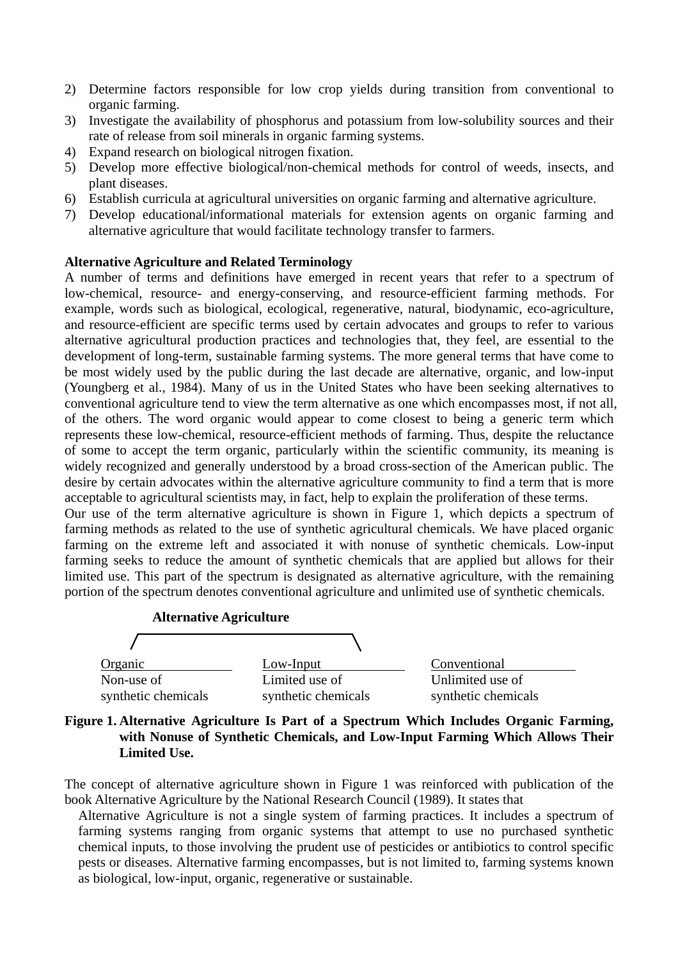- 2) Determine factors responsible for low crop yields during transition from conventional to organic farming.
- 3) Investigate the availability of phosphorus and potassium from low-solubility sources and their rate of release from soil minerals in organic farming systems.
- 4) Expand research on biological nitrogen fixation.
- 5) Develop more effective biological/non-chemical methods for control of weeds, insects, and plant diseases.
- 6) Establish curricula at agricultural universities on organic farming and alternative agriculture.
- 7) Develop educational/informational materials for extension agents on organic farming and alternative agriculture that would facilitate technology transfer to farmers.

#### **Alternative Agriculture and Related Terminology**

A number of terms and definitions have emerged in recent years that refer to a spectrum of low-chemical, resource- and energy-conserving, and resource-efficient farming methods. For example, words such as biological, ecological, regenerative, natural, biodynamic, eco-agriculture, and resource-efficient are specific terms used by certain advocates and groups to refer to various alternative agricultural production practices and technologies that, they feel, are essential to the development of long-term, sustainable farming systems. The more general terms that have come to be most widely used by the public during the last decade are alternative, organic, and low-input (Youngberg et al., 1984). Many of us in the United States who have been seeking alternatives to conventional agriculture tend to view the term alternative as one which encompasses most, if not all, of the others. The word organic would appear to come closest to being a generic term which represents these low-chemical, resource-efficient methods of farming. Thus, despite the reluctance of some to accept the term organic, particularly within the scientific community, its meaning is widely recognized and generally understood by a broad cross-section of the American public. The desire by certain advocates within the alternative agriculture community to find a term that is more acceptable to agricultural scientists may, in fact, help to explain the proliferation of these terms. Our use of the term alternative agriculture is shown in Figure 1, which depicts a spectrum of

farming methods as related to the use of synthetic agricultural chemicals. We have placed organic farming on the extreme left and associated it with nonuse of synthetic chemicals. Low-input farming seeks to reduce the amount of synthetic chemicals that are applied but allows for their limited use. This part of the spectrum is designated as alternative agriculture, with the remaining portion of the spectrum denotes conventional agriculture and unlimited use of synthetic chemicals.





The concept of alternative agriculture shown in Figure 1 was reinforced with publication of the book Alternative Agriculture by the National Research Council (1989). It states that

Alternative Agriculture is not a single system of farming practices. It includes a spectrum of farming systems ranging from organic systems that attempt to use no purchased synthetic chemical inputs, to those involving the prudent use of pesticides or antibiotics to control specific pests or diseases. Alternative farming encompasses, but is not limited to, farming systems known as biological, low-input, organic, regenerative or sustainable.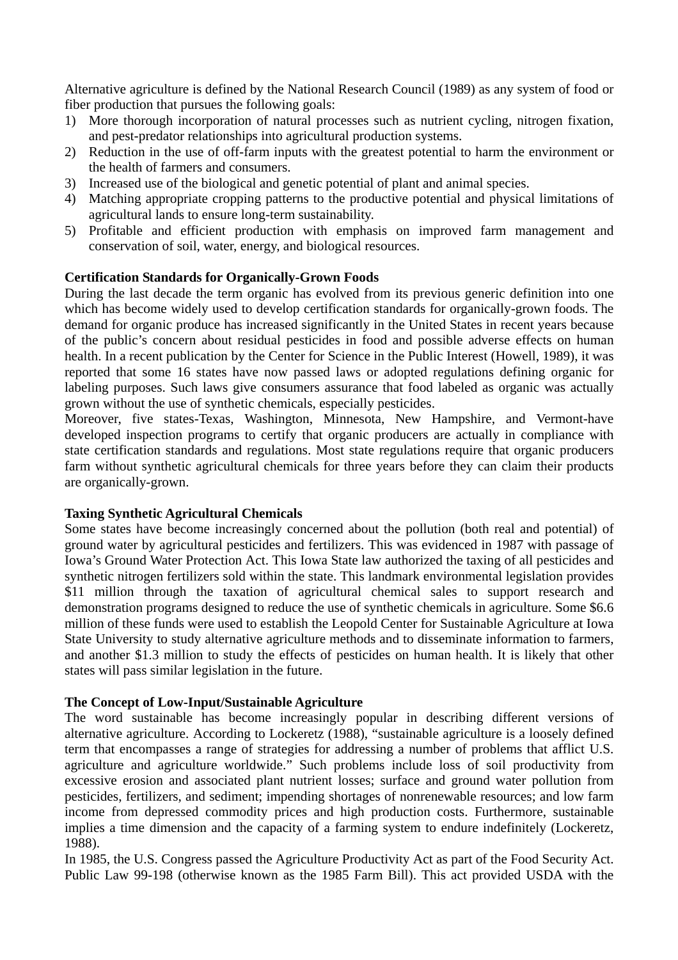Alternative agriculture is defined by the National Research Council (1989) as any system of food or fiber production that pursues the following goals:

- 1) More thorough incorporation of natural processes such as nutrient cycling, nitrogen fixation, and pest-predator relationships into agricultural production systems.
- 2) Reduction in the use of off-farm inputs with the greatest potential to harm the environment or the health of farmers and consumers.
- 3) Increased use of the biological and genetic potential of plant and animal species.
- 4) Matching appropriate cropping patterns to the productive potential and physical limitations of agricultural lands to ensure long-term sustainability.
- 5) Profitable and efficient production with emphasis on improved farm management and conservation of soil, water, energy, and biological resources.

# **Certification Standards for Organically-Grown Foods**

During the last decade the term organic has evolved from its previous generic definition into one which has become widely used to develop certification standards for organically-grown foods. The demand for organic produce has increased significantly in the United States in recent years because of the public's concern about residual pesticides in food and possible adverse effects on human health. In a recent publication by the Center for Science in the Public Interest (Howell, 1989), it was reported that some 16 states have now passed laws or adopted regulations defining organic for labeling purposes. Such laws give consumers assurance that food labeled as organic was actually grown without the use of synthetic chemicals, especially pesticides.

Moreover, five states-Texas, Washington, Minnesota, New Hampshire, and Vermont-have developed inspection programs to certify that organic producers are actually in compliance with state certification standards and regulations. Most state regulations require that organic producers farm without synthetic agricultural chemicals for three years before they can claim their products are organically-grown.

### **Taxing Synthetic Agricultural Chemicals**

Some states have become increasingly concerned about the pollution (both real and potential) of ground water by agricultural pesticides and fertilizers. This was evidenced in 1987 with passage of Iowa's Ground Water Protection Act. This Iowa State law authorized the taxing of all pesticides and synthetic nitrogen fertilizers sold within the state. This landmark environmental legislation provides \$11 million through the taxation of agricultural chemical sales to support research and demonstration programs designed to reduce the use of synthetic chemicals in agriculture. Some \$6.6 million of these funds were used to establish the Leopold Center for Sustainable Agriculture at Iowa State University to study alternative agriculture methods and to disseminate information to farmers, and another \$1.3 million to study the effects of pesticides on human health. It is likely that other states will pass similar legislation in the future.

### **The Concept of Low-Input/Sustainable Agriculture**

The word sustainable has become increasingly popular in describing different versions of alternative agriculture. According to Lockeretz (1988), "sustainable agriculture is a loosely defined term that encompasses a range of strategies for addressing a number of problems that afflict U.S. agriculture and agriculture worldwide." Such problems include loss of soil productivity from excessive erosion and associated plant nutrient losses; surface and ground water pollution from pesticides, fertilizers, and sediment; impending shortages of nonrenewable resources; and low farm income from depressed commodity prices and high production costs. Furthermore, sustainable implies a time dimension and the capacity of a farming system to endure indefinitely (Lockeretz, 1988).

In 1985, the U.S. Congress passed the Agriculture Productivity Act as part of the Food Security Act. Public Law 99-198 (otherwise known as the 1985 Farm Bill). This act provided USDA with the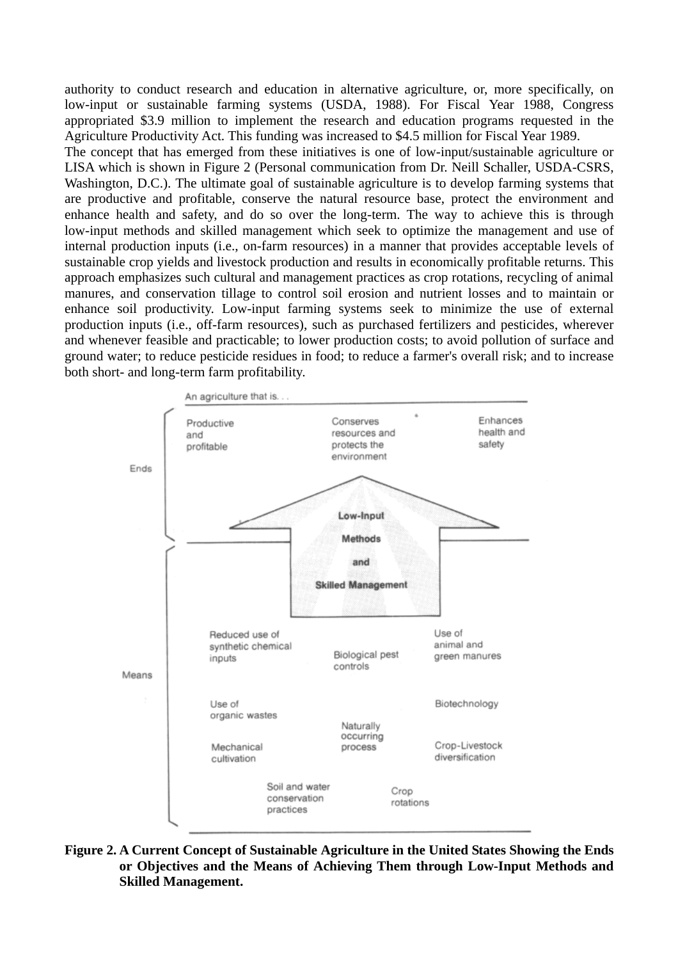authority to conduct research and education in alternative agriculture, or, more specifically, on low-input or sustainable farming systems (USDA, 1988). For Fiscal Year 1988, Congress appropriated \$3.9 million to implement the research and education programs requested in the Agriculture Productivity Act. This funding was increased to \$4.5 million for Fiscal Year 1989.

The concept that has emerged from these initiatives is one of low-input/sustainable agriculture or LISA which is shown in Figure 2 (Personal communication from Dr. Neill Schaller, USDA-CSRS, Washington, D.C.). The ultimate goal of sustainable agriculture is to develop farming systems that are productive and profitable, conserve the natural resource base, protect the environment and enhance health and safety, and do so over the long-term. The way to achieve this is through low-input methods and skilled management which seek to optimize the management and use of internal production inputs (i.e., on-farm resources) in a manner that provides acceptable levels of sustainable crop yields and livestock production and results in economically profitable returns. This approach emphasizes such cultural and management practices as crop rotations, recycling of animal manures, and conservation tillage to control soil erosion and nutrient losses and to maintain or enhance soil productivity. Low-input farming systems seek to minimize the use of external production inputs (i.e., off-farm resources), such as purchased fertilizers and pesticides, wherever and whenever feasible and practicable; to lower production costs; to avoid pollution of surface and ground water; to reduce pesticide residues in food; to reduce a farmer's overall risk; and to increase both short- and long-term farm profitability.



**Figure 2. A Current Concept of Sustainable Agriculture in the United States Showing the Ends or Objectives and the Means of Achieving Them through Low-Input Methods and Skilled Management.**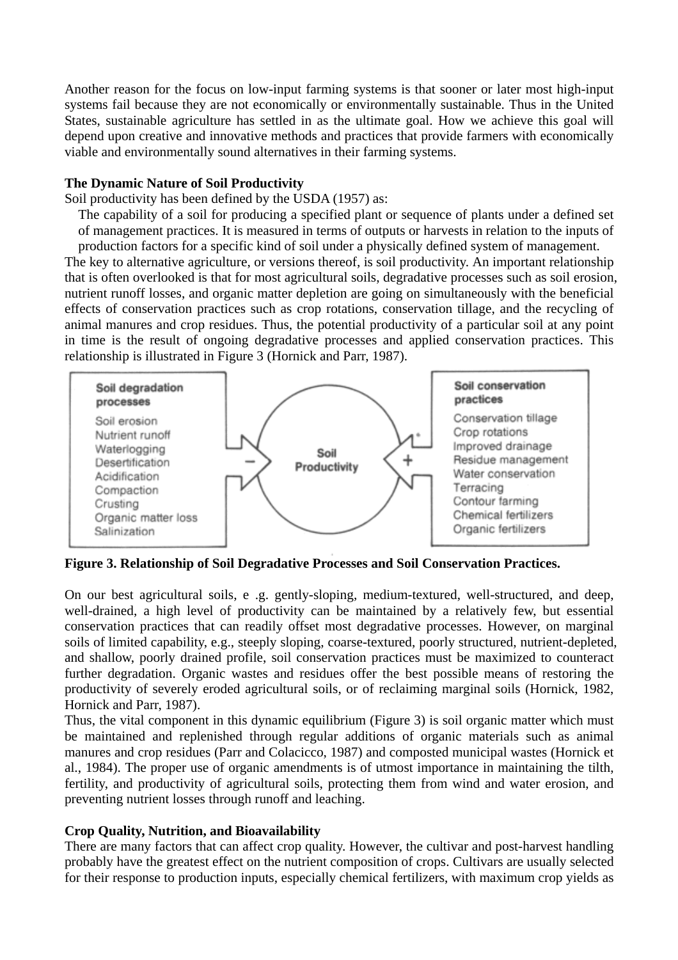Another reason for the focus on low-input farming systems is that sooner or later most high-input systems fail because they are not economically or environmentally sustainable. Thus in the United States, sustainable agriculture has settled in as the ultimate goal. How we achieve this goal will depend upon creative and innovative methods and practices that provide farmers with economically viable and environmentally sound alternatives in their farming systems.

### **The Dynamic Nature of Soil Productivity**

Soil productivity has been defined by the USDA (1957) as:

The capability of a soil for producing a specified plant or sequence of plants under a defined set of management practices. It is measured in terms of outputs or harvests in relation to the inputs of production factors for a specific kind of soil under a physically defined system of management.

The key to alternative agriculture, or versions thereof, is soil productivity. An important relationship that is often overlooked is that for most agricultural soils, degradative processes such as soil erosion, nutrient runoff losses, and organic matter depletion are going on simultaneously with the beneficial effects of conservation practices such as crop rotations, conservation tillage, and the recycling of animal manures and crop residues. Thus, the potential productivity of a particular soil at any point in time is the result of ongoing degradative processes and applied conservation practices. This relationship is illustrated in Figure 3 (Hornick and Parr, 1987).



**Figure 3. Relationship of Soil Degradative Processes and Soil Conservation Practices.**

On our best agricultural soils, e .g. gently-sloping, medium-textured, well-structured, and deep, well-drained, a high level of productivity can be maintained by a relatively few, but essential conservation practices that can readily offset most degradative processes. However, on marginal soils of limited capability, e.g., steeply sloping, coarse-textured, poorly structured, nutrient-depleted, and shallow, poorly drained profile, soil conservation practices must be maximized to counteract further degradation. Organic wastes and residues offer the best possible means of restoring the productivity of severely eroded agricultural soils, or of reclaiming marginal soils (Hornick, 1982, Hornick and Parr, 1987).

Thus, the vital component in this dynamic equilibrium (Figure 3) is soil organic matter which must be maintained and replenished through regular additions of organic materials such as animal manures and crop residues (Parr and Colacicco, 1987) and composted municipal wastes (Hornick et al., 1984). The proper use of organic amendments is of utmost importance in maintaining the tilth, fertility, and productivity of agricultural soils, protecting them from wind and water erosion, and preventing nutrient losses through runoff and leaching.

# **Crop Quality, Nutrition, and Bioavailability**

There are many factors that can affect crop quality. However, the cultivar and post-harvest handling probably have the greatest effect on the nutrient composition of crops. Cultivars are usually selected for their response to production inputs, especially chemical fertilizers, with maximum crop yields as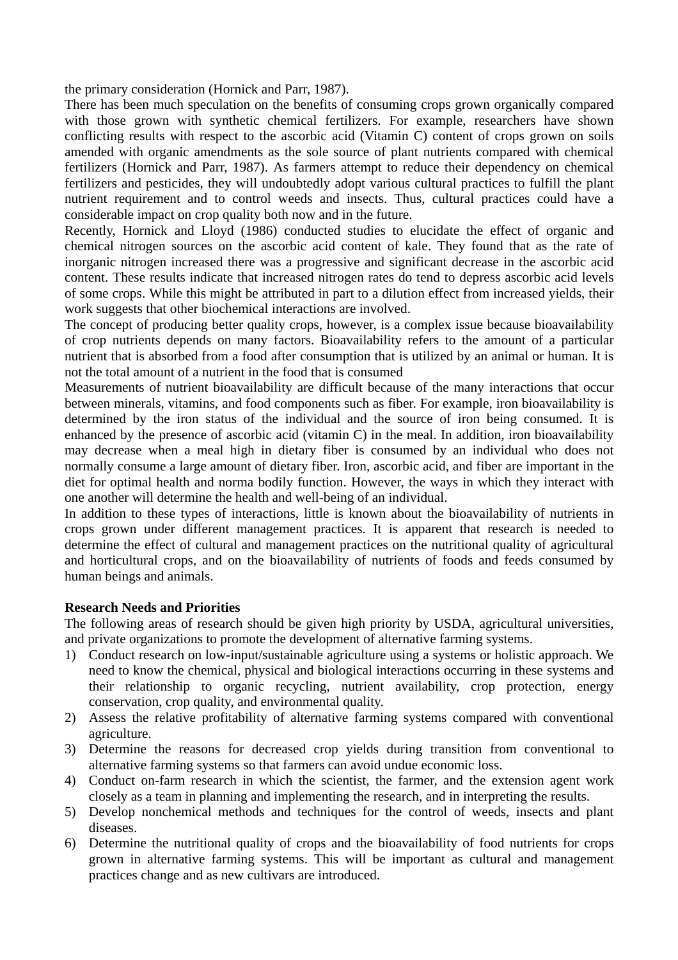the primary consideration (Hornick and Parr, 1987).

There has been much speculation on the benefits of consuming crops grown organically compared with those grown with synthetic chemical fertilizers. For example, researchers have shown conflicting results with respect to the ascorbic acid (Vitamin C) content of crops grown on soils amended with organic amendments as the sole source of plant nutrients compared with chemical fertilizers (Hornick and Parr, 1987). As farmers attempt to reduce their dependency on chemical fertilizers and pesticides, they will undoubtedly adopt various cultural practices to fulfill the plant nutrient requirement and to control weeds and insects. Thus, cultural practices could have a considerable impact on crop quality both now and in the future.

Recently, Hornick and Lloyd (1986) conducted studies to elucidate the effect of organic and chemical nitrogen sources on the ascorbic acid content of kale. They found that as the rate of inorganic nitrogen increased there was a progressive and significant decrease in the ascorbic acid content. These results indicate that increased nitrogen rates do tend to depress ascorbic acid levels of some crops. While this might be attributed in part to a dilution effect from increased yields, their work suggests that other biochemical interactions are involved.

The concept of producing better quality crops, however, is a complex issue because bioavailability of crop nutrients depends on many factors. Bioavailability refers to the amount of a particular nutrient that is absorbed from a food after consumption that is utilized by an animal or human. It is not the total amount of a nutrient in the food that is consumed

Measurements of nutrient bioavailability are difficult because of the many interactions that occur between minerals, vitamins, and food components such as fiber. For example, iron bioavailability is determined by the iron status of the individual and the source of iron being consumed. It is enhanced by the presence of ascorbic acid (vitamin C) in the meal. In addition, iron bioavailability may decrease when a meal high in dietary fiber is consumed by an individual who does not normally consume a large amount of dietary fiber. Iron, ascorbic acid, and fiber are important in the diet for optimal health and norma bodily function. However, the ways in which they interact with one another will determine the health and well-being of an individual.

In addition to these types of interactions, little is known about the bioavailability of nutrients in crops grown under different management practices. It is apparent that research is needed to determine the effect of cultural and management practices on the nutritional quality of agricultural and horticultural crops, and on the bioavailability of nutrients of foods and feeds consumed by human beings and animals.

# **Research Needs and Priorities**

The following areas of research should be given high priority by USDA, agricultural universities, and private organizations to promote the development of alternative farming systems.

- 1) Conduct research on low-input/sustainable agriculture using a systems or holistic approach. We need to know the chemical, physical and biological interactions occurring in these systems and their relationship to organic recycling, nutrient availability, crop protection, energy conservation, crop quality, and environmental quality.
- 2) Assess the relative profitability of alternative farming systems compared with conventional agriculture.
- 3) Determine the reasons for decreased crop yields during transition from conventional to alternative farming systems so that farmers can avoid undue economic loss.
- 4) Conduct on-farm research in which the scientist, the farmer, and the extension agent work closely as a team in planning and implementing the research, and in interpreting the results.
- 5) Develop nonchemical methods and techniques for the control of weeds, insects and plant diseases.
- 6) Determine the nutritional quality of crops and the bioavailability of food nutrients for crops grown in alternative farming systems. This will be important as cultural and management practices change and as new cultivars are introduced.